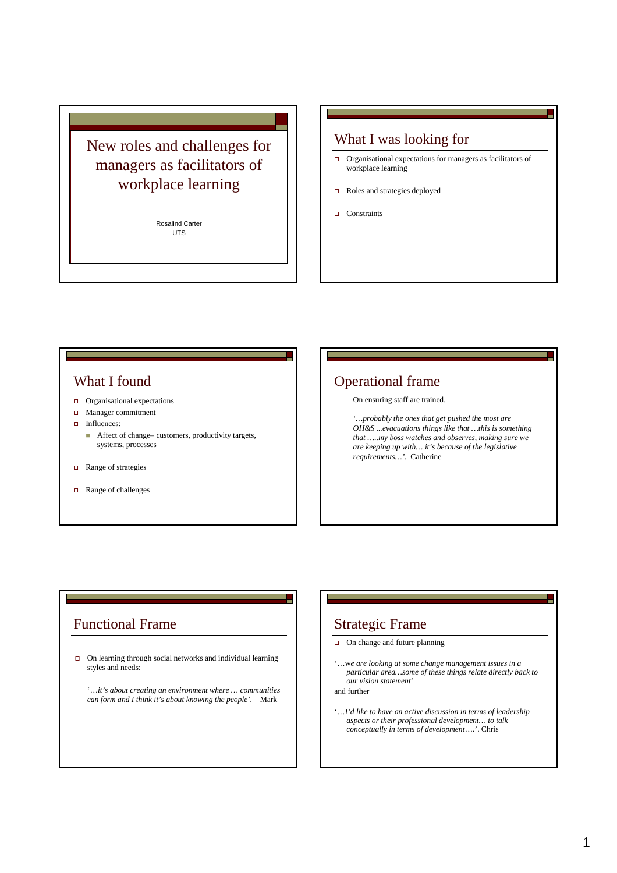# New roles and challenges for managers as facilitators of workplace learning

Rosalind Carter UTS

#### What I was looking for

- Organisational expectations for managers as facilitators of workplace learning
- Roles and strategies deployed
- $\Box$  Constraints

#### What I found

- Organisational expectations
- **D** Manager commitment
- Influences:
	- Affect of change– customers, productivity targets, systems, processes
- Range of strategies
- Range of challenges

### Operational frame

On ensuring staff are trained.

*'…probably the ones that get pushed the most are OH&S ...evacuations things like that …this is something that …..my boss watches and observes, making sure we are keeping up with… it's because of the legislative requirements…'.* Catherine

#### Functional Frame

- $\Box$  On learning through social networks and individual learning styles and needs:
	- '…*it's about creating an environment where … communities can form and I think it's about knowing the people'.* Mark

### Strategic Frame

- $\Box$  On change and future planning
- '…w*e are looking at some change management issues in a particular area…some of these things relate directly back to our vision statement*'

and further

'…*I'd like to have an active discussion in terms of leadership aspects or their professional development… to talk conceptually in terms of development*….'. Chris